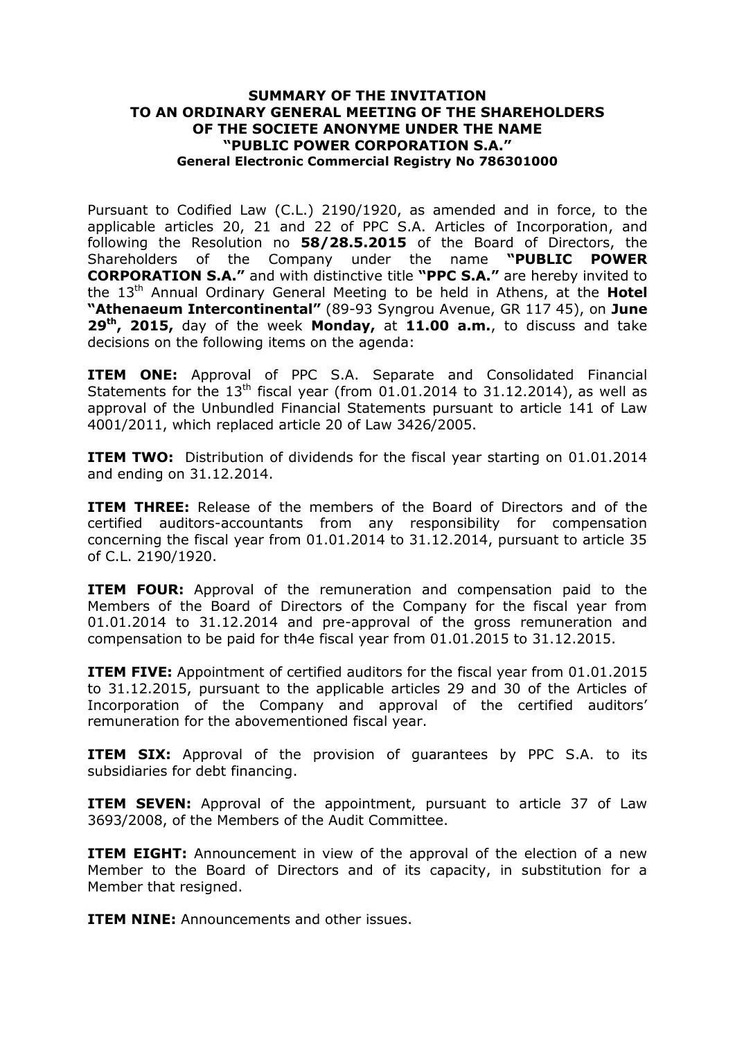## **SUMMARY OF THE INVITATION TO AN ORDINARY GENERAL MEETING OF THE SHAREHOLDERS OF THE SOCIETE ANONYME UNDER THE NAME "PUBLIC POWER CORPORATION S.A." General Electronic Commercial Registry No 786301000**

Pursuant to Codified Law (C.L.) 2190/1920, as amended and in force, to the applicable articles 20, 21 and 22 of PPC S.A. Articles of Incorporation, and following the Resolution no **58/28.5.2015** of the Board of Directors, the Shareholders of the Company under the name **"PUBLIC POWER CORPORATION S.A."** and with distinctive title **"PPC S.A."** are hereby invited to the 13<sup>th</sup> Annual Ordinary General Meeting to be held in Athens, at the **Hotel "Athenaeum Intercontinental"** (89-93 Syngrou Avenue, GR 117 45), on **June 29th , 2015,** day of the week **Monday,** at **11.00 a.m.**, to discuss and take decisions on the following items on the agenda:

**ITEM ONE:** Approval of PPC S.A. Separate and Consolidated Financial Statements for the  $13<sup>th</sup>$  fiscal year (from 01.01.2014 to 31.12.2014), as well as approval of the Unbundled Financial Statements pursuant to article 141 of Law 4001/2011, which replaced article 20 of Law 3426/2005.

**ITEM TWO:** Distribution of dividends for the fiscal year starting on 01.01.2014 and ending on 31.12.2014.

**ITEM THREE:** Release of the members of the Board of Directors and of the certified auditors-accountants from any responsibility for compensation concerning the fiscal year from 01.01.2014 to 31.12.2014, pursuant to article 35 of C.L. 2190/1920.

**ITEM FOUR:** Approval of the remuneration and compensation paid to the Members of the Board of Directors of the Company for the fiscal year from 01.01.2014 to 31.12.2014 and pre-approval of the gross remuneration and compensation to be paid for th4e fiscal year from 01.01.2015 to 31.12.2015.

**ITEM FIVE:** Appointment of certified auditors for the fiscal year from 01.01.2015 to 31.12.2015, pursuant to the applicable articles 29 and 30 of the Articles of Incorporation of the Company and approval of the certified auditors' remuneration for the abovementioned fiscal year.

**ITEM SIX:** Approval of the provision of guarantees by PPC S.A. to its subsidiaries for debt financing.

**ITEM SEVEN:** Approval of the appointment, pursuant to article 37 of Law 3693/2008, of the Members of the Audit Committee.

**ITEM EIGHT:** Announcement in view of the approval of the election of a new Member to the Board of Directors and of its capacity, in substitution for a Member that resigned.

**ITEM NINE:** Announcements and other issues.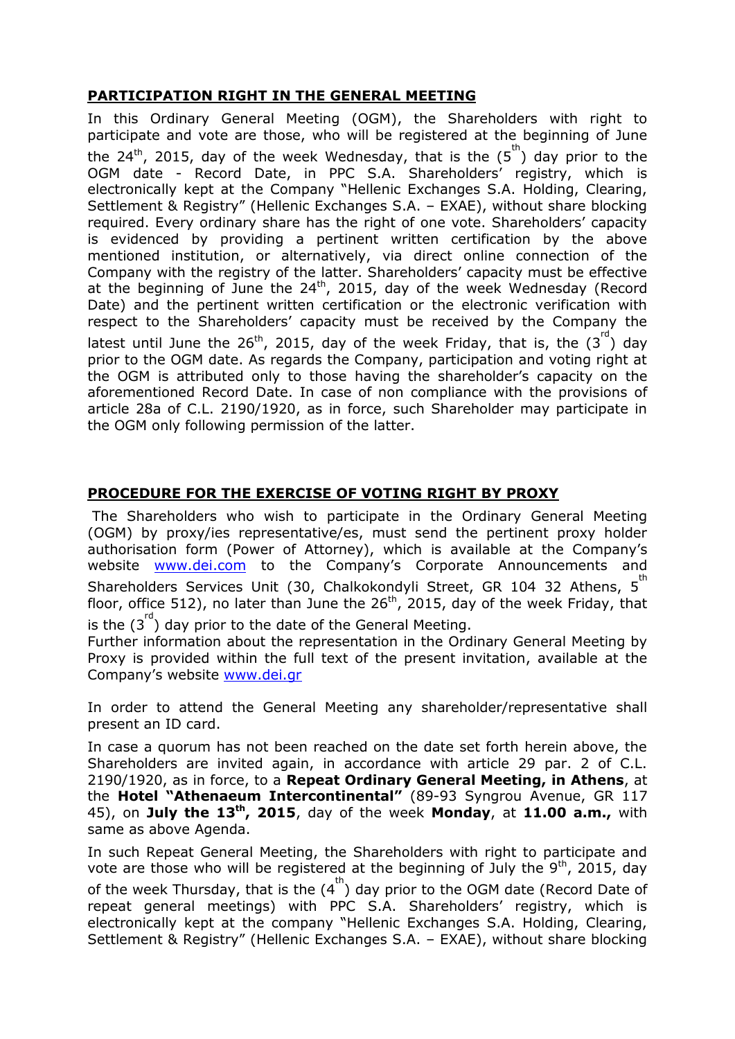## **PARTICIPATION RIGHT IN THE GENERAL MEETING**

In this Ordinary General Meeting (OGM), the Shareholders with right to participate and vote are those, who will be registered at the beginning of June the 24<sup>th</sup>, 2015, day of the week Wednesday, that is the  $(5^{th})$  day prior to the OGM date - Record Date, in PPC S.A. Shareholders' registry, which is electronically kept at the Company "Hellenic Exchanges S.A. Holding, Clearing, Settlement & Registry" (Hellenic Exchanges S.A. – EXAE), without share blocking required. Every ordinary share has the right of one vote. Shareholders' capacity is evidenced by providing a pertinent written certification by the above mentioned institution, or alternatively, via direct online connection of the Company with the registry of the latter. Shareholders' capacity must be effective at the beginning of June the  $24<sup>th</sup>$ , 2015, day of the week Wednesday (Record Date) and the pertinent written certification or the electronic verification with respect to the Shareholders' capacity must be received by the Company the latest until June the 26<sup>th</sup>, 2015, day of the week Friday, that is, the  $(3^{\text{rd}})$  day prior to the OGM date. As regards the Company, participation and voting right at the OGM is attributed only to those having the shareholder's capacity on the aforementioned Record Date. In case of non compliance with the provisions of article 28a of C.L. 2190/1920, as in force, such Shareholder may participate in the OGM only following permission of the latter.

## **PROCEDURE FOR THE EXERCISE OF VOTING RIGHT BY PROXY**

The Shareholders who wish to participate in the Ordinary General Meeting (OGM) by proxy/ies representative/es, must send the pertinent proxy holder authorisation form (Power of Attorney), which is available at the Company's website [www.dei.com](http://www.dei.com/) to the Company's Corporate Announcements and Shareholders Services Unit (30, Chalkokondyli Street, GR 104 32 Athens,  $5^{\text{th}}$ floor, office 512), no later than June the  $26<sup>th</sup>$ , 2015, day of the week Friday, that is the  $(3^{rd})$  day prior to the date of the General Meeting.

Further information about the representation in the Ordinary General Meeting by Proxy is provided within the full text of the present invitation, available at the Company's website [www.dei.gr](http://www.dei.gr/)

In order to attend the General Meeting any shareholder/representative shall present an ID card.

In case a quorum has not been reached on the date set forth herein above, the Shareholders are invited again, in accordance with article 29 par. 2 of C.L. 2190/1920, as in force, to a **Repeat Ordinary General Meeting, in Athens**, at the **Hotel "Athenaeum Intercontinental"** (89-93 Syngrou Avenue, GR 117 45), on **July the 13th, 2015**, day of the week **Monday**, at **11.00 a.m.,** with same as above Agenda.

In such Repeat General Meeting, the Shareholders with right to participate and vote are those who will be registered at the beginning of July the  $9<sup>th</sup>$ , 2015, day of the week Thursday, that is the  $(4^{th})$  day prior to the OGM date (Record Date of repeat general meetings) with PPC S.A. Shareholders' registry, which is electronically kept at the company "Hellenic Exchanges S.A. Holding, Clearing, Settlement & Registry" (Hellenic Exchanges S.A. – EXAE), without share blocking